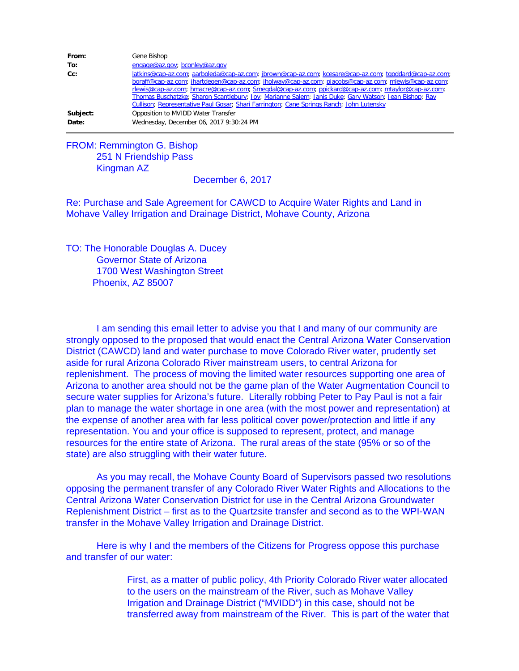| From:    | Gene Bishop                                                                                           |
|----------|-------------------------------------------------------------------------------------------------------|
| To:      | engage@az.gov; bconley@az.gov                                                                         |
| Cc:      | latkins@cap-az.com; aarboleda@cap-az.com; jbrown@cap-az.com; kcesare@cap-az.com; tgoddard@cap-az.com; |
|          | bgraff@cap-az.com; jhartdegen@cap-az.com; jholway@cap-az.com; pjacobs@cap-az.com; mlewis@cap-az.com;  |
|          | rlewis@cap-az.com; hmacre@cap-az.com; Smegdal@cap-az.com; ppickard@cap-az.com; mtaylor@cap-az.com;    |
|          | Thomas Buschatzke; Sharon Scantlebury; Joy; Marianne Salem; Janis Duke; Gary Watson; Jean Bishop; Ray |
|          | Cullison; Representative Paul Gosar; Shari Farrington; Cane Springs Ranch; John Lutensky              |
| Subject: | Opposition to MVIDD Water Transfer                                                                    |
| Date:    | Wednesday, December 06, 2017 9:30:24 PM                                                               |

## FROM: Remmington G. Bishop 251 N Friendship Pass Kingman AZ

## December 6, 2017

Re: Purchase and Sale Agreement for CAWCD to Acquire Water Rights and Land in Mohave Valley Irrigation and Drainage District, Mohave County, Arizona

TO: The Honorable Douglas A. Ducey Governor State of Arizona 1700 West Washington Street Phoenix, AZ 85007

I am sending this email letter to advise you that I and many of our community are strongly opposed to the proposed that would enact the Central Arizona Water Conservation District (CAWCD) land and water purchase to move Colorado River water, prudently set aside for rural Arizona Colorado River mainstream users, to central Arizona for replenishment. The process of moving the limited water resources supporting one area of Arizona to another area should not be the game plan of the Water Augmentation Council to secure water supplies for Arizona's future. Literally robbing Peter to Pay Paul is not a fair plan to manage the water shortage in one area (with the most power and representation) at the expense of another area with far less political cover power/protection and little if any representation. You and your office is supposed to represent, protect, and manage resources for the entire state of Arizona. The rural areas of the state (95% or so of the state) are also struggling with their water future.

As you may recall, the Mohave County Board of Supervisors passed two resolutions opposing the permanent transfer of any Colorado River Water Rights and Allocations to the Central Arizona Water Conservation District for use in the Central Arizona Groundwater Replenishment District – first as to the Quartzsite transfer and second as to the WPI-WAN transfer in the Mohave Valley Irrigation and Drainage District.

Here is why I and the members of the Citizens for Progress oppose this purchase and transfer of our water:

> First, as a matter of public policy, 4th Priority Colorado River water allocated to the users on the mainstream of the River, such as Mohave Valley Irrigation and Drainage District ("MVIDD") in this case, should not be transferred away from mainstream of the River. This is part of the water that